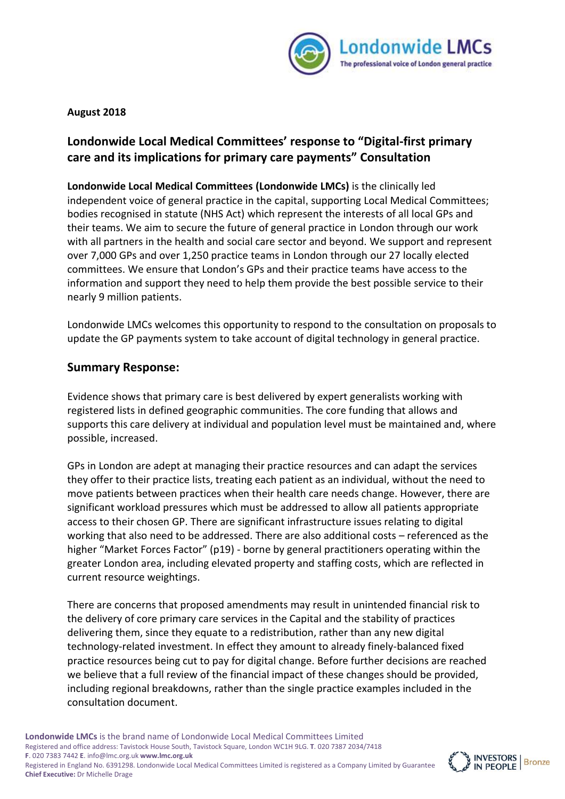

**August 2018** 

# **Londonwide Local Medical Committees' response to "Digital-first primary care and its implications for primary care payments" Consultation**

**Londonwide Local Medical Committees (Londonwide LMCs)** is the clinically led independent voice of general practice in the capital, supporting Local Medical Committees; bodies recognised in statute (NHS Act) which represent the interests of all local GPs and their teams. We aim to secure the future of general practice in London through our work with all partners in the health and social care sector and beyond. We support and represent over 7,000 GPs and over 1,250 practice teams in London through our 27 locally elected committees. We ensure that London's GPs and their practice teams have access to the information and support they need to help them provide the best possible service to their nearly 9 million patients.

Londonwide LMCs welcomes this opportunity to respond to the consultation on proposals to update the GP payments system to take account of digital technology in general practice.

# **Summary Response:**

Evidence shows that primary care is best delivered by expert generalists working with registered lists in defined geographic communities. The core funding that allows and supports this care delivery at individual and population level must be maintained and, where possible, increased.

GPs in London are adept at managing their practice resources and can adapt the services they offer to their practice lists, treating each patient as an individual, without the need to move patients between practices when their health care needs change. However, there are significant workload pressures which must be addressed to allow all patients appropriate access to their chosen GP. There are significant infrastructure issues relating to digital working that also need to be addressed. There are also additional costs – referenced as the higher "Market Forces Factor" (p19) - borne by general practitioners operating within the greater London area, including elevated property and staffing costs, which are reflected in current resource weightings.

There are concerns that proposed amendments may result in unintended financial risk to the delivery of core primary care services in the Capital and the stability of practices delivering them, since they equate to a redistribution, rather than any new digital technology-related investment. In effect they amount to already finely-balanced fixed practice resources being cut to pay for digital change. Before further decisions are reached we believe that a full review of the financial impact of these changes should be provided, including regional breakdowns, rather than the single practice examples included in the consultation document.

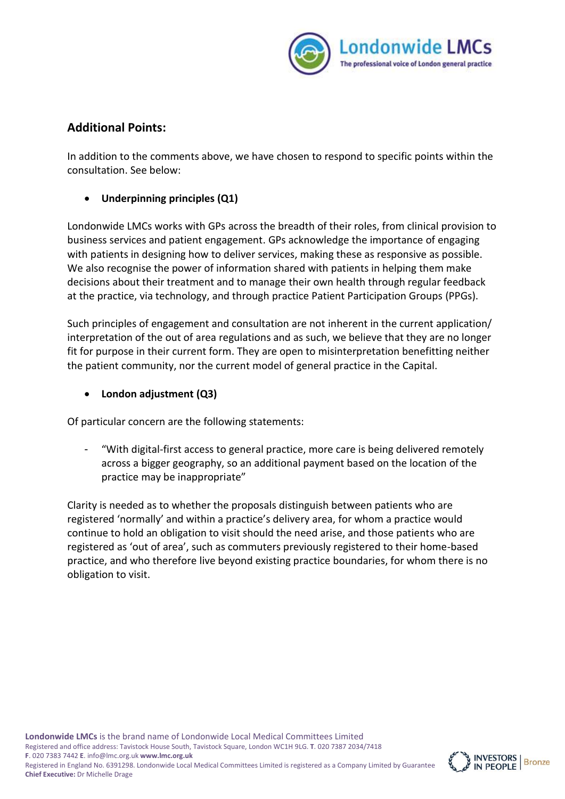

# **Additional Points:**

In addition to the comments above, we have chosen to respond to specific points within the consultation. See below:

### • **Underpinning principles (Q1)**

Londonwide LMCs works with GPs across the breadth of their roles, from clinical provision to business services and patient engagement. GPs acknowledge the importance of engaging with patients in designing how to deliver services, making these as responsive as possible. We also recognise the power of information shared with patients in helping them make decisions about their treatment and to manage their own health through regular feedback at the practice, via technology, and through practice Patient Participation Groups (PPGs).

Such principles of engagement and consultation are not inherent in the current application/ interpretation of the out of area regulations and as such, we believe that they are no longer fit for purpose in their current form. They are open to misinterpretation benefitting neither the patient community, nor the current model of general practice in the Capital.

• **London adjustment (Q3)**

Of particular concern are the following statements:

- "With digital-first access to general practice, more care is being delivered remotely across a bigger geography, so an additional payment based on the location of the practice may be inappropriate"

Clarity is needed as to whether the proposals distinguish between patients who are registered 'normally' and within a practice's delivery area, for whom a practice would continue to hold an obligation to visit should the need arise, and those patients who are registered as 'out of area', such as commuters previously registered to their home-based practice, and who therefore live beyond existing practice boundaries, for whom there is no obligation to visit.

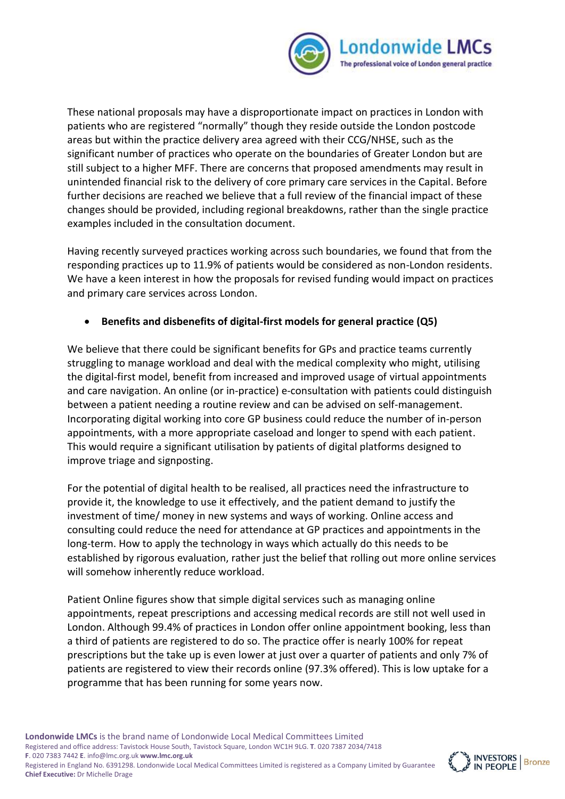

These national proposals may have a disproportionate impact on practices in London with patients who are registered "normally" though they reside outside the London postcode areas but within the practice delivery area agreed with their CCG/NHSE, such as the significant number of practices who operate on the boundaries of Greater London but are still subject to a higher MFF. There are concerns that proposed amendments may result in unintended financial risk to the delivery of core primary care services in the Capital. Before further decisions are reached we believe that a full review of the financial impact of these changes should be provided, including regional breakdowns, rather than the single practice examples included in the consultation document.

Having recently surveyed practices working across such boundaries, we found that from the responding practices up to 11.9% of patients would be considered as non-London residents. We have a keen interest in how the proposals for revised funding would impact on practices and primary care services across London.

### • **Benefits and disbenefits of digital-first models for general practice (Q5)**

We believe that there could be significant benefits for GPs and practice teams currently struggling to manage workload and deal with the medical complexity who might, utilising the digital-first model, benefit from increased and improved usage of virtual appointments and care navigation. An online (or in-practice) e-consultation with patients could distinguish between a patient needing a routine review and can be advised on self-management. Incorporating digital working into core GP business could reduce the number of in-person appointments, with a more appropriate caseload and longer to spend with each patient. This would require a significant utilisation by patients of digital platforms designed to improve triage and signposting.

For the potential of digital health to be realised, all practices need the infrastructure to provide it, the knowledge to use it effectively, and the patient demand to justify the investment of time/ money in new systems and ways of working. Online access and consulting could reduce the need for attendance at GP practices and appointments in the long-term. How to apply the technology in ways which actually do this needs to be established by rigorous evaluation, rather just the belief that rolling out more online services will somehow inherently reduce workload.

Patient Online figures show that simple digital services such as managing online appointments, repeat prescriptions and accessing medical records are still not well used in London. Although 99.4% of practices in London offer online appointment booking, less than a third of patients are registered to do so. The practice offer is nearly 100% for repeat prescriptions but the take up is even lower at just over a quarter of patients and only 7% of patients are registered to view their records online (97.3% offered). This is low uptake for a programme that has been running for some years now.

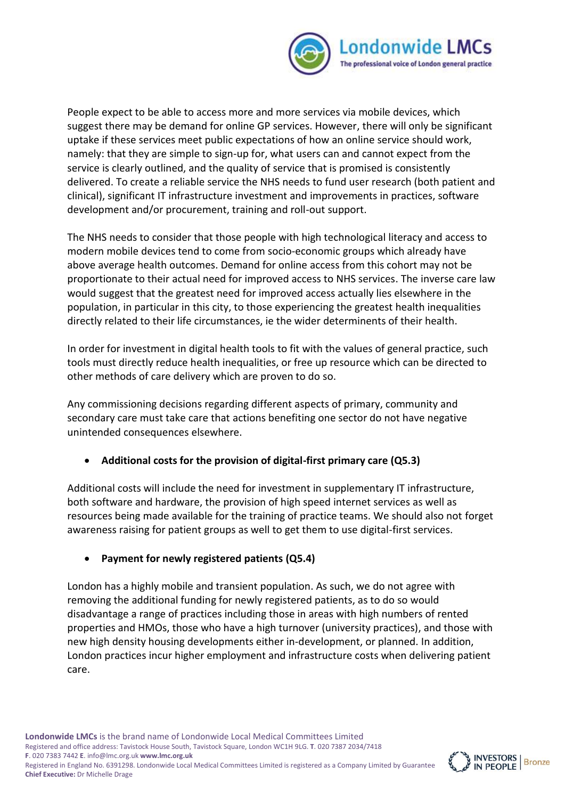

People expect to be able to access more and more services via mobile devices, which suggest there may be demand for online GP services. However, there will only be significant uptake if these services meet public expectations of how an online service should work, namely: that they are simple to sign-up for, what users can and cannot expect from the service is clearly outlined, and the quality of service that is promised is consistently delivered. To create a reliable service the NHS needs to fund user research (both patient and clinical), significant IT infrastructure investment and improvements in practices, software development and/or procurement, training and roll-out support.

The NHS needs to consider that those people with high technological literacy and access to modern mobile devices tend to come from socio-economic groups which already have above average health outcomes. Demand for online access from this cohort may not be proportionate to their actual need for improved access to NHS services. The inverse care law would suggest that the greatest need for improved access actually lies elsewhere in the population, in particular in this city, to those experiencing the greatest health inequalities directly related to their life circumstances, ie the wider determinents of their health.

In order for investment in digital health tools to fit with the values of general practice, such tools must directly reduce health inequalities, or free up resource which can be directed to other methods of care delivery which are proven to do so.

Any commissioning decisions regarding different aspects of primary, community and secondary care must take care that actions benefiting one sector do not have negative unintended consequences elsewhere.

# • **Additional costs for the provision of digital-first primary care (Q5.3)**

Additional costs will include the need for investment in supplementary IT infrastructure, both software and hardware, the provision of high speed internet services as well as resources being made available for the training of practice teams. We should also not forget awareness raising for patient groups as well to get them to use digital-first services.

#### • **Payment for newly registered patients (Q5.4)**

London has a highly mobile and transient population. As such, we do not agree with removing the additional funding for newly registered patients, as to do so would disadvantage a range of practices including those in areas with high numbers of rented properties and HMOs, those who have a high turnover (university practices), and those with new high density housing developments either in-development, or planned. In addition, London practices incur higher employment and infrastructure costs when delivering patient care.